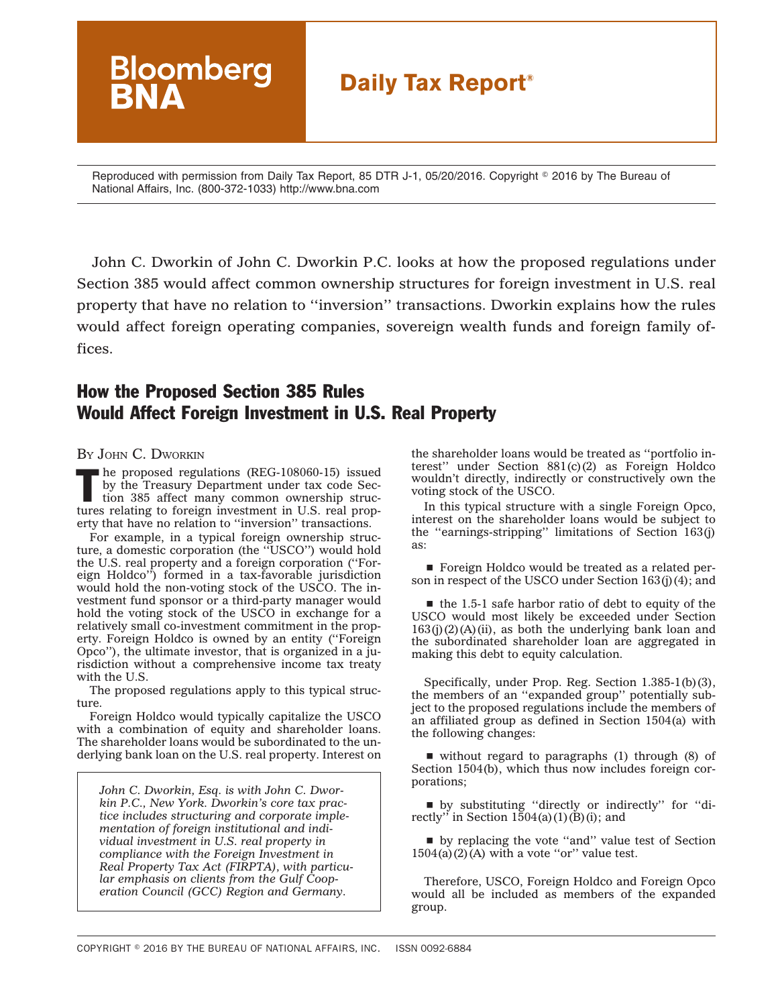# **Daily Tax Report®**

Reproduced with permission from Daily Tax Report, 85 DTR J-1, 05/20/2016. Copyright © 2016 by The Bureau of National Affairs, Inc. (800-372-1033) http://www.bna.com

John C. Dworkin of John C. Dworkin P.C. looks at how the proposed regulations under Section 385 would affect common ownership structures for foreign investment in U.S. real property that have no relation to ''inversion'' transactions. Dworkin explains how the rules would affect foreign operating companies, sovereign wealth funds and foreign family offices.

## How the Proposed Section 385 Rules Would Affect Foreign Investment in U.S. Real Property

#### BY JOHN C. DWORKIN

The proposed regulations (REG-108060-15) issued<br>by the Treasury Department under tax code Sec-<br>tion 385 affect many common ownership strucby the Treasury Department under tax code Sectures relating to foreign investment in U.S. real property that have no relation to ''inversion'' transactions.

**Bloomberg** 

For example, in a typical foreign ownership structure, a domestic corporation (the ''USCO'') would hold the U.S. real property and a foreign corporation (''Foreign Holdco'') formed in a tax-favorable jurisdiction would hold the non-voting stock of the USCO. The investment fund sponsor or a third-party manager would hold the voting stock of the USCO in exchange for a relatively small co-investment commitment in the property. Foreign Holdco is owned by an entity (''Foreign Opco''), the ultimate investor, that is organized in a jurisdiction without a comprehensive income tax treaty with the U.S.

The proposed regulations apply to this typical structure.

Foreign Holdco would typically capitalize the USCO with a combination of equity and shareholder loans. The shareholder loans would be subordinated to the underlying bank loan on the U.S. real property. Interest on

*John C. Dworkin, Esq. is with John C. Dworkin P.C., New York. Dworkin's core tax practice includes structuring and corporate implementation of foreign institutional and individual investment in U.S. real property in compliance with the Foreign Investment in Real Property Tax Act (FIRPTA), with particular emphasis on clients from the Gulf Cooperation Council (GCC) Region and Germany.*

the shareholder loans would be treated as ''portfolio interest'' under Section 881(c)(2) as Foreign Holdco wouldn't directly, indirectly or constructively own the voting stock of the USCO.

In this typical structure with a single Foreign Opco, interest on the shareholder loans would be subject to the ''earnings-stripping'' limitations of Section 163(j) as:

■ Foreign Holdco would be treated as a related person in respect of the USCO under Section 163(j)(4); and

 $\blacksquare$  the 1.5-1 safe harbor ratio of debt to equity of the USCO would most likely be exceeded under Section  $163(j)(2)(A)(ii)$ , as both the underlying bank loan and the subordinated shareholder loan are aggregated in making this debt to equity calculation.

Specifically, under Prop. Reg. Section 1.385-1(b)(3), the members of an ''expanded group'' potentially subject to the proposed regulations include the members of an affiliated group as defined in Section 1504(a) with the following changes:

 $\blacksquare$  without regard to paragraphs (1) through (8) of Section 1504(b), which thus now includes foreign corporations;

s by substituting ''directly or indirectly'' for ''directly" in Section  $1504(a)(1)(B)(i)$ ; and

s by replacing the vote ''and'' value test of Section  $1504(a)(2)(A)$  with a vote "or" value test.

Therefore, USCO, Foreign Holdco and Foreign Opco would all be included as members of the expanded group.